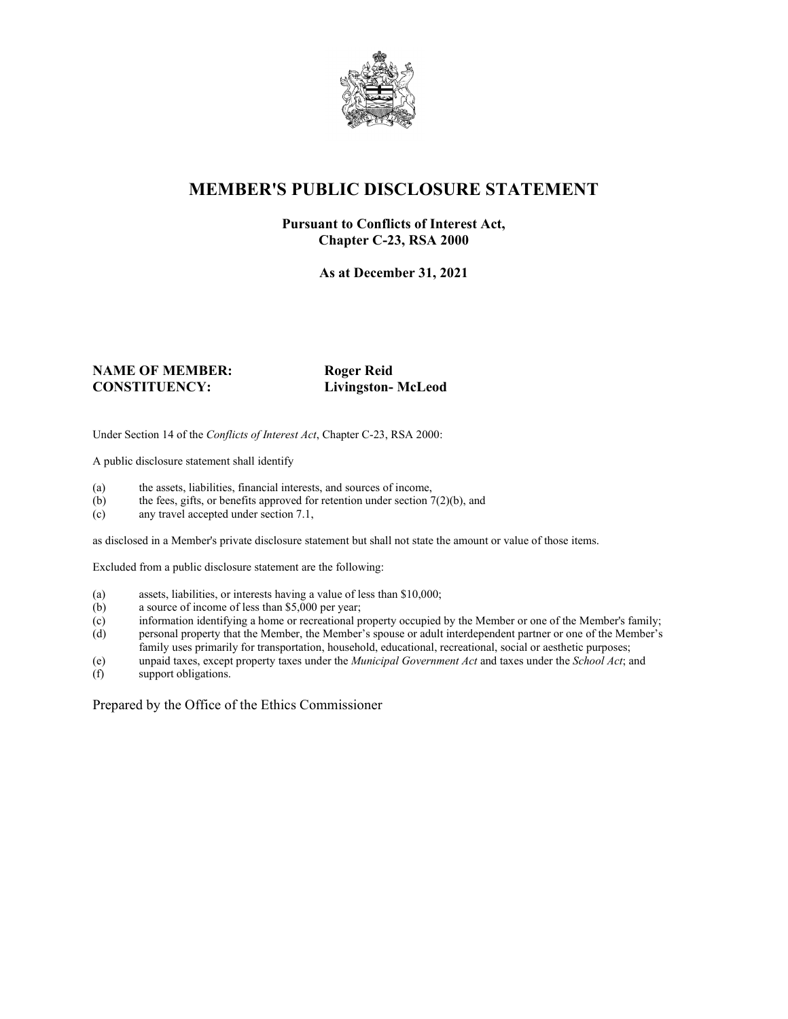

## **MEMBER'S PUBLIC DISCLOSURE STATEMENT**

#### **Pursuant to Conflicts of Interest Act, Chapter C-23, RSA 2000**

**As at December 31, 2021**

#### **NAME OF MEMBER:** Roger Reid **CONSTITUENCY: Livingston- McLeod**

Under Section 14 of the *Conflicts of Interest Act*, Chapter C-23, RSA 2000:

A public disclosure statement shall identify

- (a) the assets, liabilities, financial interests, and sources of income,  $(b)$  the fees, gifts, or benefits approved for retention under section 7
- the fees, gifts, or benefits approved for retention under section  $7(2)(b)$ , and
- (c) any travel accepted under section 7.1,

as disclosed in a Member's private disclosure statement but shall not state the amount or value of those items.

Excluded from a public disclosure statement are the following:

- (a) assets, liabilities, or interests having a value of less than \$10,000;<br>(b) a source of income of less than \$5,000 per year;
- a source of income of less than  $$5,000$  per year;
- (c) information identifying a home or recreational property occupied by the Member or one of the Member's family;
- (d) personal property that the Member, the Member's spouse or adult interdependent partner or one of the Member's family uses primarily for transportation, household, educational, recreational, social or aesthetic purposes;
- (e) unpaid taxes, except property taxes under the *Municipal Government Act* and taxes under the *School Act*; and
- (f) support obligations.

Prepared by the Office of the Ethics Commissioner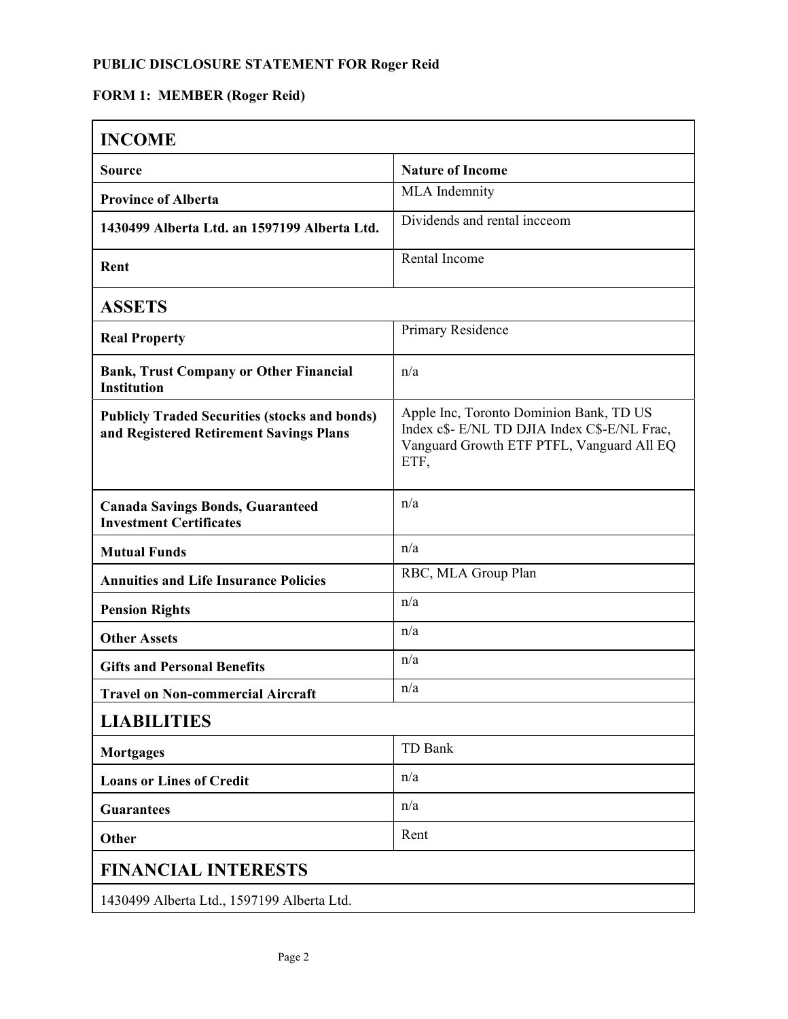# **FORM 1: MEMBER (Roger Reid)**

| <b>INCOME</b>                                                                                   |                                                                                                                                              |  |
|-------------------------------------------------------------------------------------------------|----------------------------------------------------------------------------------------------------------------------------------------------|--|
| <b>Source</b>                                                                                   | <b>Nature of Income</b>                                                                                                                      |  |
| <b>Province of Alberta</b>                                                                      | MLA Indemnity                                                                                                                                |  |
| 1430499 Alberta Ltd. an 1597199 Alberta Ltd.                                                    | Dividends and rental incceom                                                                                                                 |  |
| Rent                                                                                            | Rental Income                                                                                                                                |  |
| <b>ASSETS</b>                                                                                   |                                                                                                                                              |  |
| <b>Real Property</b>                                                                            | Primary Residence                                                                                                                            |  |
| <b>Bank, Trust Company or Other Financial</b><br><b>Institution</b>                             | n/a                                                                                                                                          |  |
| <b>Publicly Traded Securities (stocks and bonds)</b><br>and Registered Retirement Savings Plans | Apple Inc, Toronto Dominion Bank, TD US<br>Index c\$- E/NL TD DJIA Index C\$-E/NL Frac,<br>Vanguard Growth ETF PTFL, Vanguard All EQ<br>ETF, |  |
| <b>Canada Savings Bonds, Guaranteed</b><br><b>Investment Certificates</b>                       | n/a                                                                                                                                          |  |
| <b>Mutual Funds</b>                                                                             | n/a                                                                                                                                          |  |
| <b>Annuities and Life Insurance Policies</b>                                                    | RBC, MLA Group Plan                                                                                                                          |  |
| <b>Pension Rights</b>                                                                           | n/a                                                                                                                                          |  |
| <b>Other Assets</b>                                                                             | n/a                                                                                                                                          |  |
| <b>Gifts and Personal Benefits</b>                                                              | n/a                                                                                                                                          |  |
| <b>Travel on Non-commercial Aircraft</b>                                                        | n/a                                                                                                                                          |  |
| <b>LIABILITIES</b>                                                                              |                                                                                                                                              |  |
| <b>Mortgages</b>                                                                                | TD Bank                                                                                                                                      |  |
| <b>Loans or Lines of Credit</b>                                                                 | n/a                                                                                                                                          |  |
| <b>Guarantees</b>                                                                               | n/a                                                                                                                                          |  |
| Other                                                                                           | Rent                                                                                                                                         |  |
| <b>FINANCIAL INTERESTS</b>                                                                      |                                                                                                                                              |  |
| 1430499 Alberta Ltd., 1597199 Alberta Ltd.                                                      |                                                                                                                                              |  |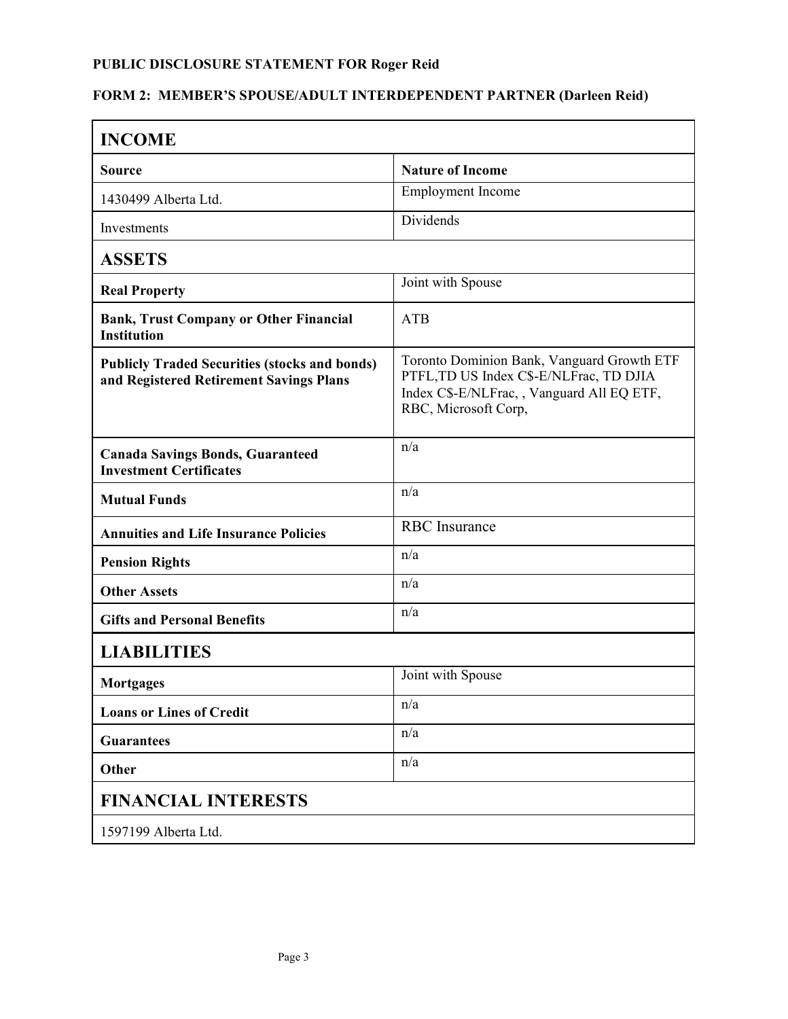## **FORM 2: MEMBER'S SPOUSE/ADULT INTERDEPENDENT PARTNER (Darleen Reid)**

| <b>INCOME</b>                                                                                   |                                                                                                                                                            |
|-------------------------------------------------------------------------------------------------|------------------------------------------------------------------------------------------------------------------------------------------------------------|
| <b>Source</b>                                                                                   | <b>Nature of Income</b>                                                                                                                                    |
| 1430499 Alberta Ltd.                                                                            | <b>Employment</b> Income                                                                                                                                   |
| Investments                                                                                     | Dividends                                                                                                                                                  |
| <b>ASSETS</b>                                                                                   |                                                                                                                                                            |
| <b>Real Property</b>                                                                            | Joint with Spouse                                                                                                                                          |
| <b>Bank, Trust Company or Other Financial</b><br><b>Institution</b>                             | <b>ATB</b>                                                                                                                                                 |
| <b>Publicly Traded Securities (stocks and bonds)</b><br>and Registered Retirement Savings Plans | Toronto Dominion Bank, Vanguard Growth ETF<br>PTFL, TD US Index C\$-E/NLFrac, TD DJIA<br>Index C\$-E/NLFrac,, Vanguard All EQ ETF,<br>RBC, Microsoft Corp, |
| <b>Canada Savings Bonds, Guaranteed</b><br><b>Investment Certificates</b>                       | n/a                                                                                                                                                        |
| <b>Mutual Funds</b>                                                                             | n/a                                                                                                                                                        |
| <b>Annuities and Life Insurance Policies</b>                                                    | <b>RBC</b> Insurance                                                                                                                                       |
| <b>Pension Rights</b>                                                                           | n/a                                                                                                                                                        |
| <b>Other Assets</b>                                                                             | n/a                                                                                                                                                        |
| <b>Gifts and Personal Benefits</b>                                                              | n/a                                                                                                                                                        |
| <b>LIABILITIES</b>                                                                              |                                                                                                                                                            |
| <b>Mortgages</b>                                                                                | Joint with Spouse                                                                                                                                          |
| <b>Loans or Lines of Credit</b>                                                                 | n/a                                                                                                                                                        |
| <b>Guarantees</b>                                                                               | n/a                                                                                                                                                        |
| Other                                                                                           | n/a                                                                                                                                                        |
| <b>FINANCIAL INTERESTS</b>                                                                      |                                                                                                                                                            |
| 1597199 Alberta Ltd.                                                                            |                                                                                                                                                            |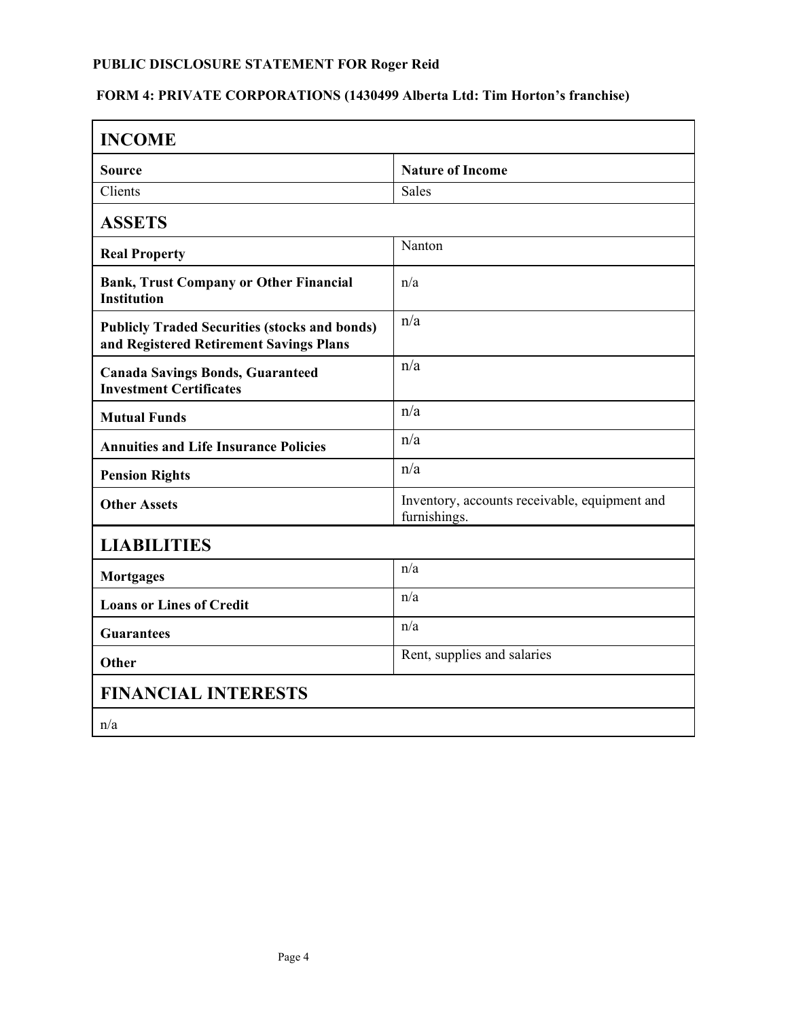# **FORM 4: PRIVATE CORPORATIONS (1430499 Alberta Ltd: Tim Horton's franchise)**

| <b>INCOME</b>                                                                                   |                                                               |  |
|-------------------------------------------------------------------------------------------------|---------------------------------------------------------------|--|
| <b>Source</b>                                                                                   | <b>Nature of Income</b>                                       |  |
| Clients                                                                                         | <b>Sales</b>                                                  |  |
| <b>ASSETS</b>                                                                                   |                                                               |  |
| <b>Real Property</b>                                                                            | Nanton                                                        |  |
| <b>Bank, Trust Company or Other Financial</b><br><b>Institution</b>                             | n/a                                                           |  |
| <b>Publicly Traded Securities (stocks and bonds)</b><br>and Registered Retirement Savings Plans | n/a                                                           |  |
| <b>Canada Savings Bonds, Guaranteed</b><br><b>Investment Certificates</b>                       | n/a                                                           |  |
| <b>Mutual Funds</b>                                                                             | n/a                                                           |  |
| <b>Annuities and Life Insurance Policies</b>                                                    | n/a                                                           |  |
| <b>Pension Rights</b>                                                                           | n/a                                                           |  |
| <b>Other Assets</b>                                                                             | Inventory, accounts receivable, equipment and<br>furnishings. |  |
| <b>LIABILITIES</b>                                                                              |                                                               |  |
| <b>Mortgages</b>                                                                                | n/a                                                           |  |
| <b>Loans or Lines of Credit</b>                                                                 | n/a                                                           |  |
| <b>Guarantees</b>                                                                               | n/a                                                           |  |
| Other                                                                                           | Rent, supplies and salaries                                   |  |
| <b>FINANCIAL INTERESTS</b>                                                                      |                                                               |  |
| n/a                                                                                             |                                                               |  |